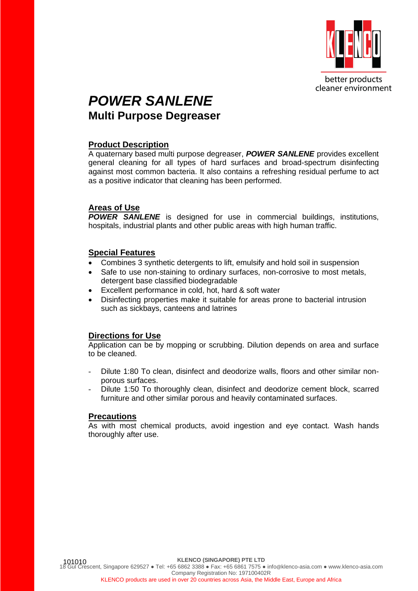

better products cleaner environment

## *POWER SANLENE* **Multi Purpose Degreaser**

#### **Product Description**

A quaternary based multi purpose degreaser, *POWER SANLENE* provides excellent general cleaning for all types of hard surfaces and broad-spectrum disinfecting against most common bacteria. It also contains a refreshing residual perfume to act as a positive indicator that cleaning has been performed.

#### **Areas of Use**

*POWER SANLENE* is designed for use in commercial buildings, institutions, hospitals, industrial plants and other public areas with high human traffic.

#### **Special Features**

- Combines 3 synthetic detergents to lift, emulsify and hold soil in suspension
- Safe to use non-staining to ordinary surfaces, non-corrosive to most metals, detergent base classified biodegradable
- Excellent performance in cold, hot, hard & soft water
- Disinfecting properties make it suitable for areas prone to bacterial intrusion such as sickbays, canteens and latrines

### **Directions for Use**

Application can be by mopping or scrubbing. Dilution depends on area and surface to be cleaned.

- Dilute 1:80 To clean, disinfect and deodorize walls, floors and other similar nonporous surfaces.
- Dilute 1:50 To thoroughly clean, disinfect and deodorize cement block, scarred furniture and other similar porous and heavily contaminated surfaces.

#### **Precautions**

As with most chemical products, avoid ingestion and eye contact. Wash hands thoroughly after use.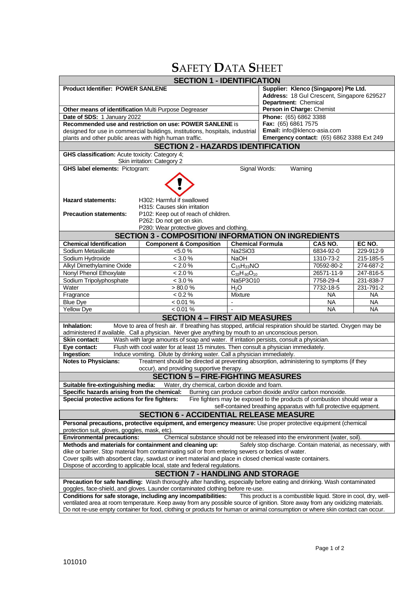# **S**AFETY **D**ATA **S**HEET

| <b>SECTION 1 - IDENTIFICATION</b>                                                                                                                                                                        |                                                                                                                                                                                                                                                                   |                                 |                                                    |            |           |  |  |
|----------------------------------------------------------------------------------------------------------------------------------------------------------------------------------------------------------|-------------------------------------------------------------------------------------------------------------------------------------------------------------------------------------------------------------------------------------------------------------------|---------------------------------|----------------------------------------------------|------------|-----------|--|--|
| <b>Product Identifier: POWER SANLENE</b>                                                                                                                                                                 |                                                                                                                                                                                                                                                                   |                                 | Supplier: Klenco (Singapore) Pte Ltd.              |            |           |  |  |
|                                                                                                                                                                                                          |                                                                                                                                                                                                                                                                   |                                 | Address: 18 Gul Crescent, Singapore 629527         |            |           |  |  |
|                                                                                                                                                                                                          |                                                                                                                                                                                                                                                                   |                                 | Department: Chemical                               |            |           |  |  |
| Other means of identification Multi Purpose Degreaser                                                                                                                                                    |                                                                                                                                                                                                                                                                   |                                 | Person in Charge: Chemist<br>Phone: (65) 6862 3388 |            |           |  |  |
| Date of SDS: 1 January 2022<br>Recommended use and restriction on use: POWER SANLENE is                                                                                                                  | Fax: (65) 6861 7575                                                                                                                                                                                                                                               |                                 |                                                    |            |           |  |  |
| designed for use in commercial buildings, institutions, hospitals, industrial                                                                                                                            | Email: info@klenco-asia.com                                                                                                                                                                                                                                       |                                 |                                                    |            |           |  |  |
| plants and other public areas with high human traffic.                                                                                                                                                   |                                                                                                                                                                                                                                                                   |                                 | <b>Emergency contact:</b> (65) 6862 3388 Ext 249   |            |           |  |  |
| <b>SECTION 2 - HAZARDS IDENTIFICATION</b>                                                                                                                                                                |                                                                                                                                                                                                                                                                   |                                 |                                                    |            |           |  |  |
| <b>GHS classification:</b> Acute toxicity: Category 4;                                                                                                                                                   |                                                                                                                                                                                                                                                                   |                                 |                                                    |            |           |  |  |
| Skin irritation: Category 2                                                                                                                                                                              |                                                                                                                                                                                                                                                                   |                                 |                                                    |            |           |  |  |
| <b>GHS label elements: Pictogram:</b><br>Signal Words:<br>Warning                                                                                                                                        |                                                                                                                                                                                                                                                                   |                                 |                                                    |            |           |  |  |
|                                                                                                                                                                                                          |                                                                                                                                                                                                                                                                   |                                 |                                                    |            |           |  |  |
|                                                                                                                                                                                                          |                                                                                                                                                                                                                                                                   |                                 |                                                    |            |           |  |  |
|                                                                                                                                                                                                          |                                                                                                                                                                                                                                                                   |                                 |                                                    |            |           |  |  |
| <b>Hazard statements:</b><br>H302: Harmful if swallowed<br>H315: Causes skin irritation                                                                                                                  |                                                                                                                                                                                                                                                                   |                                 |                                                    |            |           |  |  |
| <b>Precaution statements:</b>                                                                                                                                                                            | P102: Keep out of reach of children.                                                                                                                                                                                                                              |                                 |                                                    |            |           |  |  |
|                                                                                                                                                                                                          | P262: Do not get on skin.                                                                                                                                                                                                                                         |                                 |                                                    |            |           |  |  |
| P280: Wear protective gloves and clothing.                                                                                                                                                               |                                                                                                                                                                                                                                                                   |                                 |                                                    |            |           |  |  |
|                                                                                                                                                                                                          | <b>SECTION 3 - COMPOSITION/ INFORMATION ON INGREDIENTS</b>                                                                                                                                                                                                        |                                 |                                                    |            |           |  |  |
| <b>Chemical Identification</b>                                                                                                                                                                           | <b>Component &amp; Composition</b>                                                                                                                                                                                                                                | <b>Chemical Formula</b>         |                                                    | CAS NO.    | EC NO.    |  |  |
| Sodium Metasilicate                                                                                                                                                                                      | $< 5.0 \%$                                                                                                                                                                                                                                                        | Na2SiO3                         |                                                    | 6834-92-0  | 229-912-9 |  |  |
| Sodium Hydroxide                                                                                                                                                                                         | < 3.0 %                                                                                                                                                                                                                                                           | <b>NaOH</b>                     |                                                    | 1310-73-2  | 215-185-5 |  |  |
| Alkyl Dimethylamine Oxide                                                                                                                                                                                | $< 2.0 \%$                                                                                                                                                                                                                                                        | $C_{15}H_{33}NO$                |                                                    | 70592-80-2 | 274-687-2 |  |  |
| Nonyl Phenol Ethoxylate                                                                                                                                                                                  | $< 2.0 \%$                                                                                                                                                                                                                                                        | $\overline{C}_{33}H_{60}O_{10}$ |                                                    | 26571-11-9 | 247-816-5 |  |  |
| Sodium Tripolyphosphate                                                                                                                                                                                  | < 3.0 %                                                                                                                                                                                                                                                           | Na5P3O10                        |                                                    | 7758-29-4  | 231-838-7 |  |  |
| Water                                                                                                                                                                                                    | $> 80.0 \%$                                                                                                                                                                                                                                                       | H <sub>2</sub> O                |                                                    | 7732-18-5  | 231-791-2 |  |  |
| Fragrance                                                                                                                                                                                                | < 0.2 %                                                                                                                                                                                                                                                           | <b>Mixture</b>                  |                                                    | NA         | <b>NA</b> |  |  |
| <b>Blue Dye</b>                                                                                                                                                                                          | < 0.01 %                                                                                                                                                                                                                                                          | $\overline{\phantom{a}}$        |                                                    | NA         | <b>NA</b> |  |  |
| <b>Yellow Dye</b>                                                                                                                                                                                        | $< 0.01\%$                                                                                                                                                                                                                                                        |                                 |                                                    | <b>NA</b>  | <b>NA</b> |  |  |
| <b>SECTION 4 - FIRST AID MEASURES</b>                                                                                                                                                                    |                                                                                                                                                                                                                                                                   |                                 |                                                    |            |           |  |  |
| Move to area of fresh air. If breathing has stopped, artificial respiration should be started. Oxygen may be<br>Inhalation:                                                                              |                                                                                                                                                                                                                                                                   |                                 |                                                    |            |           |  |  |
| administered if available. Call a physician. Never give anything by mouth to an unconscious person.<br><b>Skin contact:</b>                                                                              |                                                                                                                                                                                                                                                                   |                                 |                                                    |            |           |  |  |
| Wash with large amounts of soap and water. If irritation persists, consult a physician.<br>Flush with cool water for at least 15 minutes. Then consult a physician immediately.<br>Eye contact:          |                                                                                                                                                                                                                                                                   |                                 |                                                    |            |           |  |  |
| Ingestion:<br>Induce vomiting. Dilute by drinking water. Call a physician immediately.                                                                                                                   |                                                                                                                                                                                                                                                                   |                                 |                                                    |            |           |  |  |
| <b>Notes to Physicians:</b><br>Treatment should be directed at preventing absorption, administering to symptoms (if they                                                                                 |                                                                                                                                                                                                                                                                   |                                 |                                                    |            |           |  |  |
| occur), and providing supportive therapy.                                                                                                                                                                |                                                                                                                                                                                                                                                                   |                                 |                                                    |            |           |  |  |
| <b>SECTION 5 - FIRE-FIGHTING MEASURES</b>                                                                                                                                                                |                                                                                                                                                                                                                                                                   |                                 |                                                    |            |           |  |  |
| Suitable fire-extinguishing media:<br>Water, dry chemical, carbon dioxide and foam.                                                                                                                      |                                                                                                                                                                                                                                                                   |                                 |                                                    |            |           |  |  |
| Specific hazards arising from the chemical:<br>Burning can produce carbon dioxide and/or carbon monoxide.                                                                                                |                                                                                                                                                                                                                                                                   |                                 |                                                    |            |           |  |  |
| Special protective actions for fire fighters:<br>Fire fighters may be exposed to the products of combustion should wear a                                                                                |                                                                                                                                                                                                                                                                   |                                 |                                                    |            |           |  |  |
| self-contained breathing apparatus with full protective equipment.                                                                                                                                       |                                                                                                                                                                                                                                                                   |                                 |                                                    |            |           |  |  |
| <b>SECTION 6 - ACCIDENTIAL RELEASE MEASURE</b>                                                                                                                                                           |                                                                                                                                                                                                                                                                   |                                 |                                                    |            |           |  |  |
| Personal precautions, protective equipment, and emergency measure: Use proper protective equipment (chemical<br>protection suit, gloves, goggles, mask, etc).                                            |                                                                                                                                                                                                                                                                   |                                 |                                                    |            |           |  |  |
| <b>Environmental precautions:</b><br>Chemical substance should not be released into the environment (water, soil).                                                                                       |                                                                                                                                                                                                                                                                   |                                 |                                                    |            |           |  |  |
| Methods and materials for containment and cleaning up:<br>Safely stop discharge. Contain material, as necessary, with                                                                                    |                                                                                                                                                                                                                                                                   |                                 |                                                    |            |           |  |  |
| dike or barrier. Stop material from contaminating soil or from entering sewers or bodies of water.                                                                                                       |                                                                                                                                                                                                                                                                   |                                 |                                                    |            |           |  |  |
| Cover spills with absorbent clay, sawdust or inert material and place in closed chemical waste containers.                                                                                               |                                                                                                                                                                                                                                                                   |                                 |                                                    |            |           |  |  |
|                                                                                                                                                                                                          | Dispose of according to applicable local, state and federal regulations.                                                                                                                                                                                          |                                 |                                                    |            |           |  |  |
|                                                                                                                                                                                                          | <b>SECTION 7 - HANDLING AND STORAGE</b>                                                                                                                                                                                                                           |                                 |                                                    |            |           |  |  |
| Precaution for safe handling: Wash thoroughly after handling, especially before eating and drinking. Wash contaminated<br>goggles, face-shield, and gloves. Launder contaminated clothing before re-use. |                                                                                                                                                                                                                                                                   |                                 |                                                    |            |           |  |  |
|                                                                                                                                                                                                          |                                                                                                                                                                                                                                                                   |                                 |                                                    |            |           |  |  |
|                                                                                                                                                                                                          | Conditions for safe storage, including any incompatibilities:<br>This product is a combustible liquid. Store in cool, dry, well-<br>ventilated area at room temperature. Keep away from any possible source of ignition. Store away from any oxidizing materials. |                                 |                                                    |            |           |  |  |
| Do not re-use empty container for food, clothing or products for human or animal consumption or where skin contact can occur.                                                                            |                                                                                                                                                                                                                                                                   |                                 |                                                    |            |           |  |  |